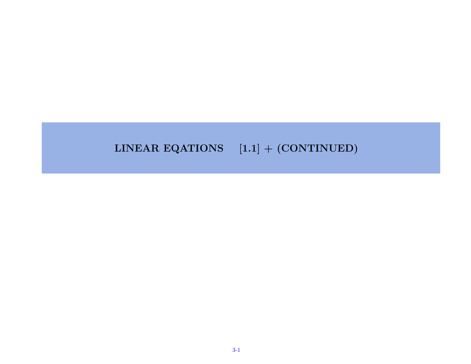#### LINEAR EQATIONS  $[1.1] + (CONTINUED)$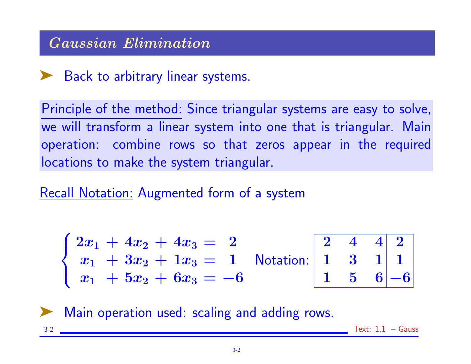# Gaussian Elimination

# ► Back to arbitrary linear systems.

Principle of the method: Since triangular systems are easy to solve, we will transform a linear system into one that is triangular. Main operation: combine rows so that zeros appear in the required locations to make the system triangular.

Recall Notation: Augmented form of a system

$$
\begin{cases} 2x_1 + 4x_2 + 4x_3 = 2 \\ x_1 + 3x_2 + 1x_3 = 1 \\ x_1 + 5x_2 + 6x_3 = -6 \end{cases}
$$
 Notation: 
$$
\begin{bmatrix} 2 & 4 & 4 & 2 \\ 1 & 3 & 1 & 1 \\ 1 & 5 & 6 & -6 \end{bmatrix}
$$

Main operation used: scaling and adding rows.

 $3-2$  Text:  $1.1$  – Gauss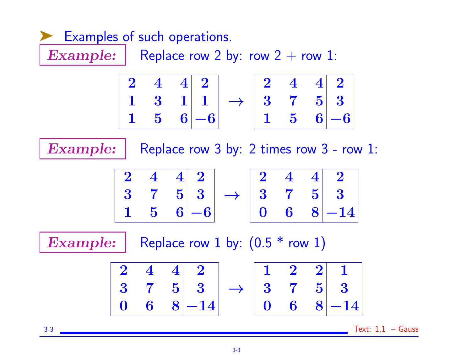

3-3 Text: 1.1 – Gauss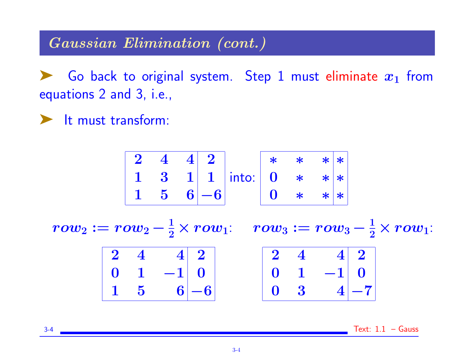#### Gaussian Elimination (cont.)

Go back to original system. Step 1 must eliminate  $x_1$  from equations 2 and 3, i.e.,

➤ It must transform:

2 4 4 2 1 3 1 1 1 5 6 −6 into: ∗ ∗ ∗ ∗ 0 ∗ ∗ ∗ 0 ∗ ∗ ∗

 $row_2 := row_2 - \frac{1}{2} \times row_1: \quad row_3 := row_3 - \frac{1}{2} \times row_1:$  $\begin{array}{|c|c|c|c|c|}\n\hline\n\textbf{0} & \textbf{4} & \textbf{1} & \textbf{0}\n\end{array}$ 

|  | $2 \quad 4 \qquad 4 \quad 2 \mid$                                         |  |  |                                                                                 |  |
|--|---------------------------------------------------------------------------|--|--|---------------------------------------------------------------------------------|--|
|  | $\begin{array}{ c c c c c c } \hline 0 & 1 & -1 & 0 \ \hline \end{array}$ |  |  | $\begin{array}{ c c c c }\hline 2&4&4&2 \ \hline 0&1&-1&0 \ \hline \end{array}$ |  |
|  | $\begin{bmatrix} 1 & 5 & 6 \end{bmatrix} - 6$                             |  |  | $\begin{array}{ c c c c c } \hline 0 & 3 & 4 & -7 \\\hline \end{array}$         |  |

 $3-4$  Text:  $1.1$  – Gauss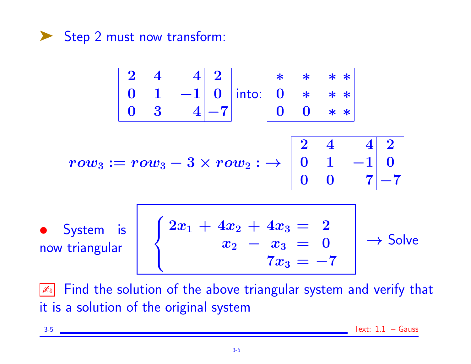

$$
\begin{array}{|c|c|c|c|c|}\n\hline\n2 & 4 & 4 & 2 \\
0 & 1 & -1 & 0 \\
\hline\n0 & 3 & 4 & -7\n\end{array}
$$
 into: 
$$
\begin{array}{|c|c|c|c|c|}\n\hline\n* & * & * & * \\
0 & * & * & * \\
0 & 0 & * & * \\
\hline\n0 & 0 & * & * \\
\hline\n0 & 0 & 1 & -1 & 0 \\
\hline\n0 & 0 & 7 & -7\n\end{array}
$$
\n• System is  
now triangular  
now triangular  

$$
\hline\n\begin{array}{|c|c|c|}\n2x_1 + 4x_2 + 4x_3 & = & 2 \\
x_2 - x_3 & = & 0 \\
\hline\n7x_3 & = & -7\n\end{array}
$$
  $\rightarrow$  Solve

**Ex** Find the solution of the above triangular system and verify that it is a solution of the original system

$$
\begin{array}{c}\n 3-5 \\
 \hline\n \end{array}\n \quad \text{Text: } 1.1 - \text{Gauss}
$$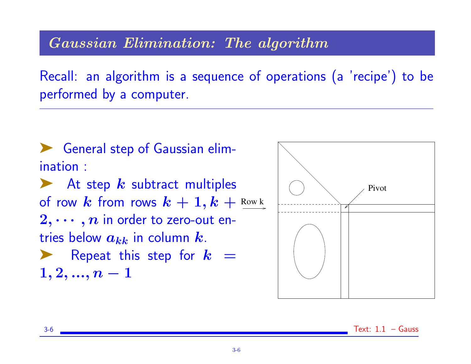#### Gaussian Elimination: The algorithm

Recall: an algorithm is a sequence of operations (a 'recipe') to be performed by a computer.



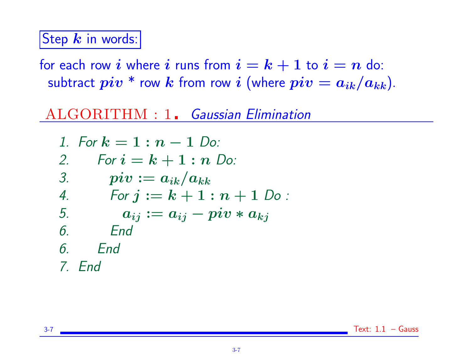## Step  $k$  in words:

for each row i where i runs from  $i = k + 1$  to  $i = n$  do: subtract  $piv *$  row k from row i (where  $piv = a_{ik}/a_{kk}$ ).

## ALGORITHM : 1. Gaussian Elimination

1. For 
$$
k = 1 : n - 1
$$
 Do:  
\n2. For  $i = k + 1 : n$  Do:  
\n3. piv :=  $a_{ik}/a_{kk}$   
\n4. For  $j := k + 1 : n + 1$  Do:  
\n5.  $a_{ij} := a_{ij} - piv * a_{kj}$   
\n6. End  
\n7. End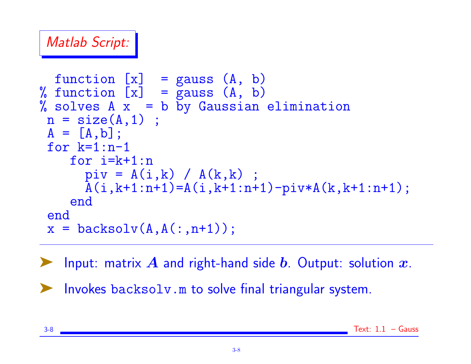# Matlab Script:

```
function [x] = gauss (A, b)% function [x] = gauss (A, b)% solves A \times = b by Gaussian elimination
n = size(A, 1) ;
A = [A, b];
 for k=1:n-1for i=k+1:npi = A(i,k) / A(k,k);
      \overline{A(i,k+1:n+1)} = A(i,k+1:n+1) - \text{piv} * A(k,k+1:n+1);end
 end
 x = \text{backsolv}(A, A(:, n+1));
```
**EXECUTE:** matrix  $\bm{A}$  and right-hand side  $\bm{b}$ . Output: solution  $\bm{x}$ .

➤ Invokes backsolv.m to solve final triangular system.

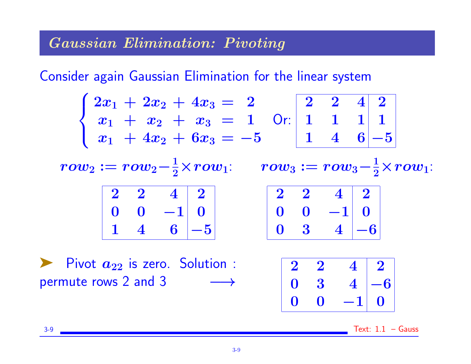### Gaussian Elimination: Pivoting

Consider again Gaussian Elimination for the linear system

|                                                                                                |  | $\begin{cases} 2x_1 + 2x_2 + 4x_3 = 2 \ x_1 + x_2 + x_3 = 1 \ x_1 + 4x_2 + 6x_3 = -5 \end{cases}$ Or: $\begin{array}{ c c c c c }\hline 1 & 1 & 1 & 1 \ 1 & 4 & 6 & -5 \ \hline \end{array}$ |  |  |                                                                         |  |  |
|------------------------------------------------------------------------------------------------|--|----------------------------------------------------------------------------------------------------------------------------------------------------------------------------------------------|--|--|-------------------------------------------------------------------------|--|--|
| $row_2 := row_2 - \frac{1}{2} \times row_1: \qquad row_3 := row_3 - \frac{1}{2} \times row_1:$ |  |                                                                                                                                                                                              |  |  |                                                                         |  |  |
|                                                                                                |  | $2 \quad 2 \quad 4 \mid 2$                                                                                                                                                                   |  |  | $2 \quad 2 \quad 4 \mid 2$                                              |  |  |
|                                                                                                |  | $\begin{array}{ c c c c c c } \hline 0 & 0 & -1 & 0 \end{array}$                                                                                                                             |  |  | $\begin{array}{ c c c c c } \hline 0 & 0 & -1 & 0 \\\hline \end{array}$ |  |  |
|                                                                                                |  | $1 \quad 4 \quad 6 \mid -5$                                                                                                                                                                  |  |  | $\begin{array}{ccc c} 0 & 3 & 4 & -6 \end{array}$                       |  |  |

 $\triangleright$  Pivot  $a_{22}$  is zero. Solution : permute rows 2 and 3  $\longrightarrow$ 

|   |           |      | $\mathbf{2}$            |
|---|-----------|------|-------------------------|
| 0 | 3         |      | $-6$                    |
| O | $\bullet$ | $-1$ | $\overline{\mathbf{0}}$ |

 $3-9$  Text:  $1.1$  – Gauss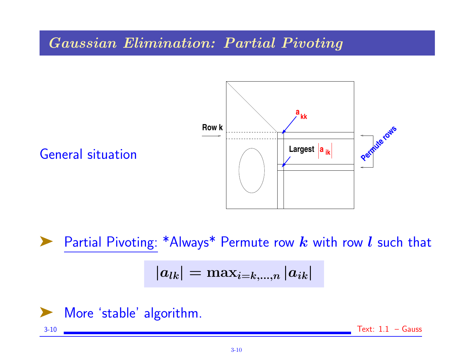## Gaussian Elimination: Partial Pivoting



**Example 2** Partial Pivoting: \*Always\* Permute row  $k$  with row  $l$  such that

$$
\left|a_{lk}\right|=\max_{i=k,...,n}\left|a_{ik}\right|
$$



$$
3-10 \quad \text{Text: } 1.1 - \text{Gauss}
$$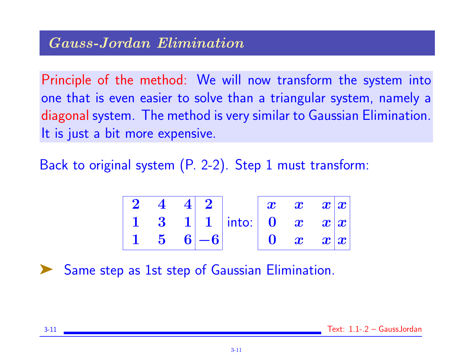Principle of the method: We will now transform the system into one that is even easier to solve than a triangular system, namely a diagonal system. The method is very similar to Gaussian Elimination. It is just a bit more expensive.

Back to original system (P. 2-2). Step 1 must transform:

| $2 \quad 4 \quad 4$ 2 |  |                            |  | $\begin{array}{ c c c c }\hline x & x & x x  \ \hline \end{array}$                                    |
|-----------------------|--|----------------------------|--|-------------------------------------------------------------------------------------------------------|
|                       |  | 1 3 1 1 into: 0 $x$ $x x $ |  |                                                                                                       |
| $5 \t6$ -6            |  |                            |  | $\begin{array}{cc} \mathbf{0} & \bm{x} & \bm{x} \ \end{array} \begin{array}{ll} \bm{x} \ \end{array}$ |

Same step as 1st step of Gaussian Elimination.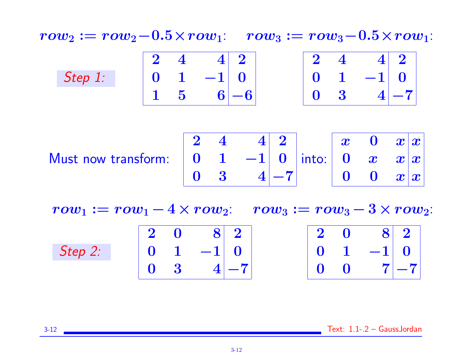$row_2 := row_2 - 0.5 \times row_1: row_3 := row_3 - 0.5 \times row_1:$ 

|         | $\bullet$    | $\overline{\mathcal{A}}$ |                 | $4 \vert 2$ | $\mathbf{\Omega}$ |                              | $4 \vert 2 \vert$ |
|---------|--------------|--------------------------|-----------------|-------------|-------------------|------------------------------|-------------------|
| Step 1: | $\mathbf{0}$ |                          | $1$ $-1$ 0      |             |                   | $0 \quad 1 \quad -1 \quad 0$ |                   |
|         |              | $5\overline{)}$          | $\vert 6 \vert$ | $L - 6$     | 0 <sup>3</sup>    |                              | $ 4 -\frac{1}{4}$ |

Must now transform:

|  |  | $\begin{array}{c ccc c} 2 & 4 & 4 & 2 \ 0 & 1 & -1 & 0 \ 0 & 3 & 4 & -7 \ \end{array}$ into: $\begin{array}{ ccc c c c }\hline x & 0 & x & x \ 0 & x & x & x \ 0 & 0 & x & x \ \end{array}$ |  |  |
|--|--|---------------------------------------------------------------------------------------------------------------------------------------------------------------------------------------------|--|--|

 $row_1 := row_1 - 4 \times row_2: row_3 := row_3 - 3 \times row_2$ :

|         | $2\quad 0$     | $\begin{array}{ c c c }\hline \textbf{8} & \textbf{2} \end{array}$ |          | $2\quad 0$ | $\begin{array}{ c c c c }\hline \textbf{8} & \textbf{2} & \end{array}$ |
|---------|----------------|--------------------------------------------------------------------|----------|------------|------------------------------------------------------------------------|
| Step 2: |                | $0 \quad 1 \quad -1 \quad 0$                                       |          |            | $\begin{bmatrix} 0 & 1 & -1 & 0 \\ 0 & 0 & 7 & -7 \end{bmatrix}$       |
|         | 0 <sup>3</sup> |                                                                    | $ 4 -7 $ |            |                                                                        |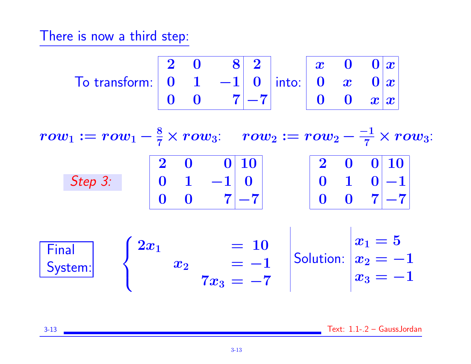There is now a third step:

$$
\text{To transform: } \begin{array}{|c|c|c|c|c|c|} \hline 2 & 0 & 8 & 2 \\ 0 & 1 & -1 & 0 \\ \hline 0 & 0 & 7 & -7 \end{array} \text{ into: } \begin{array}{|c|c|c|c|} \hline x & 0 & 0 & x \\ 0 & x & 0 & x \\ \hline 0 & 0 & x & x \end{array}
$$

 $row_1 := row_1 - \frac{8}{7} \times row_3: \quad row_2 := row_2 - \frac{-1}{7} \times row_3:$ Step 3:  $\begin{array}{ccc|c} 2 & 0 & 0 & 10 \end{array}$  $\begin{array}{ccc|c} 0 & 1 & -1 & 0 \end{array}$  $0 \quad 0 \quad 7$   $-7$  $\begin{array}{ccc|c} 2 & 0 & 0 & 10 \end{array}$  $\begin{matrix} 0 & 1 & 0 \end{matrix}$   $\begin{matrix} -1 \end{matrix}$  $0 \quad 0 \quad 7$   $-7$ **Final**  $\sqrt{2}$  $2x_1$  = 10  $x_1 = 5$  $x_2 = -1$ 

| Final<br>System: | \n $x_2$ \n  | \n $= -1$ \n | \n $x_2$ \n |
|------------------|--------------|--------------|-------------|
| $x_3$            | \n $= -7$ \n | \n $x_3$ \n  |             |

3-13 Text: 1.1-.2 – GaussJordan

 $= -1$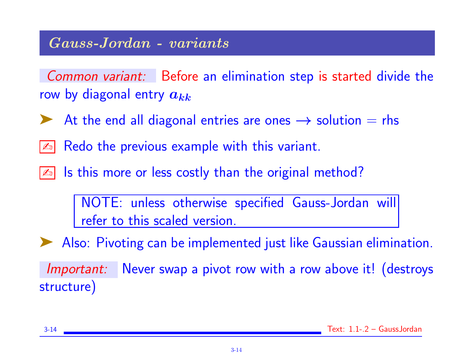### Gauss-Jordan - variants

Common variant: Before an elimination step is started divide the row by diagonal entry  $a_{kk}$ 

At the end all diagonal entries are ones  $\rightarrow$  solution  $=$  rhs

 $\boxed{\mathbb{Z}^n}$  Redo the previous example with this variant.

Is this more or less costly than the original method?

NOTE: unless otherwise specified Gauss-Jordan will refer to this scaled version.

➤ Also: Pivoting can be implemented just like Gaussian elimination.

Important: Never swap a pivot row with a row above it! (destroys structure)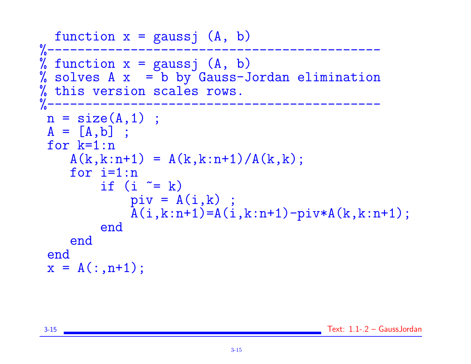```
function x = gaussj (A, b)<br>%---------------------------
%--------------------------------------------
% function x = gaussj (A, b)% solves A \times = b by Gauss-Jordan elimination
% this version scales rows.<br>%-------------------------
%--------------------------------------------
 n = size(A, 1);
 A = [A, b];
 for k=1:n
    A(k, k:n+1) = A(k, k:n+1)/A(k, k);for i=1:n
          if (i \cong k)piv = A(i,k);
              \bar{A}(i,k:n+1)=A(i,k:n+1)-piv*A(k,k:n+1);end
     end
 end
 x = A(:, n+1);
```